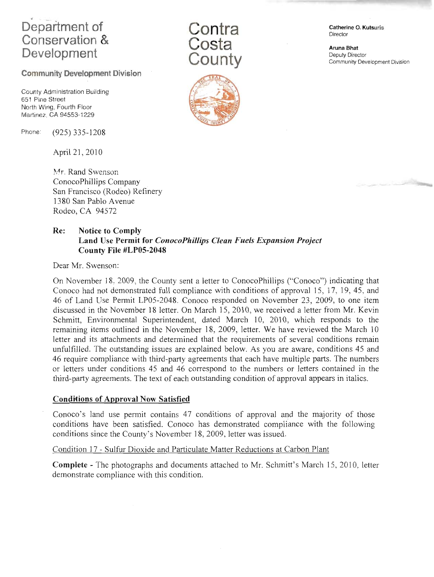# Department of Conservation & Development

# Community Development Division

County Administration Building 651 Pine Street North Wing, Fourth Floor Martinez, CA 94553-1229

Phone: (925) 335-1208

April 21,2010

Mr. Rand Swenson. ConocoPhillips Company San Francisco (Rodeo) Refinery 1380 San Pablo Avenue Rodeo, CA 94572





Aruna Bhat Deputy Director Community Development Division



# Re: Notice to Comply Land Use Permit for ConocoPhillips Clean Fuek Expansion Project County File #LP05-2048

Dear Mr. Swenson:

On November 18. 2009, the County sent a letter to ConocoPhillips ("Conoco") indicating that Conoco had not demonstrated full compliance with conditions of approval 15, 17, 19, 45, and 46 of Land Use Permit LP05-2048. Conoco responded on November 23,2009, to one item discussed in the November l8 letter. On March 15, 2010, we received a letter from Mr. Kevin Schmitt, Environmental Superintendent, dated March 10,2010, which responds to the remaining items outlined in the November 18, 2009, letter. We have reviewed the March 10 letter and its attachments and determined that the requirements of several conditions remain unfulfilled. The outstanding issues are explained below. As you are aware, conditions 45 and 46 require compliance with third-party agreements that each have multiple parts. The numbers or letters under conditions 45 and 46 correspond to the numbers or letters contained in the third-party agreements. The text of each outstanding condition of approval appears in italics.

## Conditions of Approval Now Satisfied

Conoco's land use permit contains 47 conditions of approval and the majority of those conditions have been satisfied. Conoco has demonstrated compliance with the following conditions since the County's November 18, 2009, letter was issued.

## Condition 17 - Sulfur Dioxide and Particulate Matter Reductions at Carbon Plant

Complete - The photographs and documents attached to Mr. Schmitt's March 15,2010. letter demonstrate comoliance with this condition.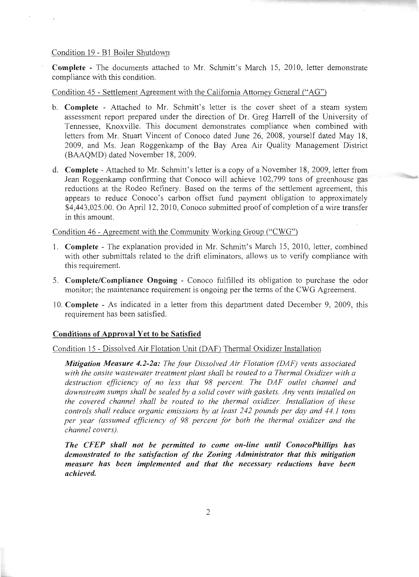#### Condition 19 - 81 Boiler Shutdown

Complete - The documents attached to Mr. Schmitt's March 15, 2010, letter demonstrate compliance with this condition.

Condition 45 - Settlement Asreement with the Califomia Attorney General ("AG")

- b. Complete Attached to Mr. Schmitt's letter is the cover sheet of a steam system assessment report prepared under the direction of Dr. Greg Harrell of the University of Tennessee, Knoxville. This document demonstrates compliance when combined with letters from Mr. Stuart Vincent of Conoco dated June26,2008, yourself dated May 18, 2009, and Ms. Jean Roggenkamp of the Bay Area Air Quality Management District (BAAQMD) dated November 18,2009.
- d. **Complete** Attached to Mr. Schmitt's letter is a copy of a November 18, 2009, letter from .Iean Roggenkamp confirming that Conoco will achieve 102,799 tons of greenhouse gas reductions at the Rodeo Refinery. Based on the terms of the settlement agreement, this appears to reduce Conoco's carbon offset fund payment obligation to approximately \$4,443,025.00. On April 12, 2010, Conoco submitted proof of completion of a wire transfer in this amount.

Condition 46 - Agreement with the Community Working Group ("CWG")

- 1. Complete The explanation provided in Mr. Schmitt's March 15, 2010, letter, combined with other submittals related to the drift eliminators, allows us to verify compliance with this requirement.
- 5. Complete/Compliance Ongoing Conoco fulfilled its obligation to purchase the odor monitor; the maintenance requirement is ongoing per the terms of the CWG Agreement.
- 10. Complete As indicated in a letter from this department dated December 9, 2009, this requirement has been satisfied.

### Conditions of Approval Yet to be Satisfied

Condition 15 - Dissolved Air Flotation Unit (DAF) Thermal Oxidizer Installation

Mitigation Measure 4.2-2a: The four Dissolved Air Flotation (DAF) vents associated with the onsite wastewater treatment plant shall be routed to a Thermal Oxidizer with a destruction efficiency of no less that 98 percent. The DAF outlet channel and downstream sumps shall be sealed by a solid cover with gaskets. Any vents installed on the covered channel shall be routed to the thermal oxidizer. Installation of these controls shall reduce organic emissions by at least 242 pounds per day and 44.1 tons per year (assumed efficiency of 98 percent for both the thermal oxidizer and the channel covers).

The CFEP shall not be permitted to come on-line until ConocoPhillips has demonstrated to the satisfaction of the Zoning Administrator that this mitigation measure has been implemented and that the necessary reductions have been achieved.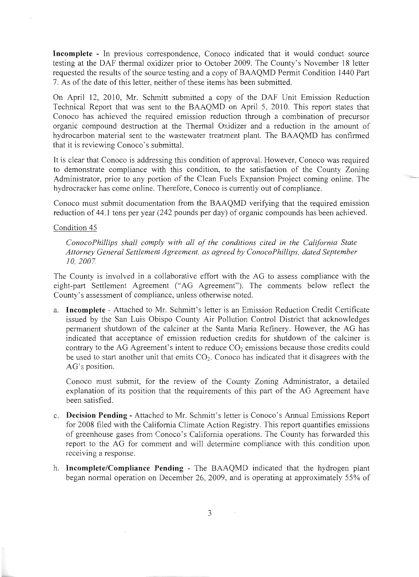Incomplete - In previous correspondence, Conoco indicated that it would conduct source testing at the DAF thermal oxidizer prior to October 2009. The County's November 18 letter requested the results of the source testing and a copy of BAAOMD Permit Condition 1440 Part 7. As of the date of this letter, neither of these items has been submitted.

On April 12, 2010, Mr. Schmitt submitted a copy of the DAF Unit Emission Reduction Technical Report that was sent to the BAAQMD on April 5, 2010. This report states that Conoco has achieved the required emission reduction through a combination of precursor organic compound destruction at the Thermal Oxidizer and a reduction in the amount of hydrocarbon material sent to the wastewater treatment plant. The BAAQMD has confirmed that it is reviewing Conoco's submittal.

It is clear that Conoco is addressing this condition of approval. However, Conoco was required to demonstrate compliance with this condition, to the satisfaction of the County Zoning Administrator, prior to any portion of the Clean Fuels Expansion Project coming online. The hydrocracker has come online. Therefore, Conoco is currently out of compliance.

Conoco must submit documentation from the BAAQMD verifying that the required emission reduction of 44.1 tons per year (242 pounds per day) of organic compounds has been achieved.

#### Condition 45

ConocoPhillips shall comply with all of the conditions cited in the California State Attorney General Settlement Agreement, as agreed by ConocoPhillips, dated September 10,2007.

The County is involved in a collaborative effort with the AG to assess compliance with the eight-part Settlement Agreement ("AG Agreement"). The comments below reflect the County's assessment of compliance, unless otherwise noted.

a. Incomplete - Attached to Mr. Schmitt's letter is an Emission Reduction Credit Certificate issued by the San Luis Obispo County Air Pollution Control District that acknowledges permanent shutdown of the calciner at the Santa Maria Refinery. However, the AG has indicated that acceptance of emission reduction credits for shutdown of the calciner is contrary to the AG Agreement's intent to reduce  $CO<sub>2</sub>$  emissions because those credits could be used to start another unit that emits  $CO<sub>2</sub>$ . Conoco has indicated that it disagrees with the AG's position.

Conoco must submit, for the review of the County Zoning Administrator, a detailed explanation of its position that the requirements of this part of the AG Agreement have been satisfied.

- c. Decision Pending Attached to Mr. Schmitt's letter is Conoco's Annual Emissions Report for 2008 filed with the California Climate Action Registry. This report quantifies emissions of greenhouse gases from Conoco's California operations. The County has forwarded this report to the AG for comment and will determine compliance with this condition upon receiving a response.
- h. Incomplete/Compliance Pending The BAAQMD indicated that the hydrogen plant began normal operation on December 26,2009, and is operating at approximately 55% of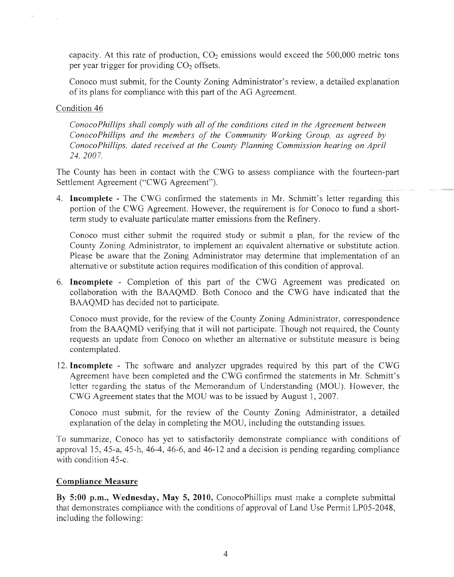capacity. At this rate of production,  $CO<sub>2</sub>$  emissions would exceed the 500,000 metric tons per year trigger for providing  $CO<sub>2</sub>$  offsets.

Conoco must submit, for the County Zoning Administrator's review, a detailed explanation of its plans for compliance with this part of the AG Agreement.

## Condition 46

ConocoPhillips shall comply with all of the conditions cited in the Agreement between ConocoPhillips and the members of the Community Working Group, as agreed by ConocoPhillips, dated received at the County Planning Commission hearing on April 24, 2007.

The County has been in contact with the CWG to assess compliance with the fourteen-part Settlement Agreement ("CWG Agreement").

4. Incomplete - The CWG confirmed the statements in Mr. Schmitt's letter regarding this portion of the CWG Agreement. However, the requirement is for Conoco to fund a shortterm study to evaluate particulate matter emissions from the Refinery.

Conoco must either submit the required study or submit a plan, for the review of the County Zoning Administrator, to implement an equivalent alternative or substitute action. Please be aware that the Zoning Administrator may determine that implementation of an alternative or substitute action requires modification of this condition of approval.

6. Incomplete - Completion of this part of the CWG Agreement was predicated on collaboration with the BAAQMD. Both Conoco and the CWG have indicated that the BAAQMD has decided not to participate.

Conoco must provide, for the review of the County Zoning Administrator, correspondence from the BAAQMD verifying that it will not participate. Though not required, the County requests an update from Conoco on whether an alternative or substitute measure is being contemplated.

12. Incomplete - The software and analyzer upgrades required by this part of the CWG Agreement have been completed and the CWG confirmed the statements in Mr. Schmitt's letter regarding the status of the Memorandum of Understanding (MOU). However, the CWG Agreement states that the MOU was to be issued by August I,2001.

Conoco must submit, for the review of the County Zoning Administrator, a detailed explanation of the delay in completing the MOU, including the outstanding issues.

To summarize, Conoco has yet to satisfactorily demonstrate compliance with conditions of approval 15, 45-a, 45-h, 46-4, 46-6, and 46-12 and a decision is pending regarding compliance with condition 45-c.

## Compliance Measure

By 5:00 p.m., Wednesday, May 5, 2010, ConocoPhillips must make a complete submittal that demonstrates compliance with the conditions of approval of Land Use Permit LP05-2048, including the following: